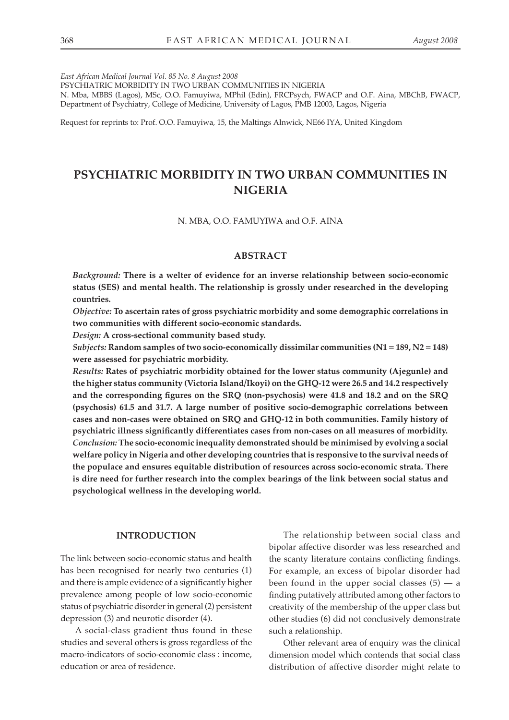*East African Medical Journal Vol. 85 No. 8 August 2008*

Psychiatric morbidity in two urban communities in Nigeria

N. Mba, MBBS (Lagos), MSc, O.O. Famuyiwa, MPhil (Edin), FRCPsych, FWACP and O.F. Aina, MBChB, FWACP, Department of Psychiatry, College of Medicine, University of Lagos, PMB 12003, Lagos, Nigeria

Request for reprints to: Prof. O.O. Famuyiwa, 15, the Maltings Alnwick, NE66 IYA, United Kingdom

# **Psychiatric morbidity in two urban communities in Nigeria**

N. MBA, O.O. FAMUYIWA and O.F. AINA

### **ABSTRACT**

*Background:* **There is a welter of evidence for an inverse relationship between socio-economic status (SES) and mental health. The relationship is grossly under researched in the developing countries.**

*Objective:* **To ascertain rates of gross psychiatric morbidity and some demographic correlations in two communities with different socio-economic standards.**

*Design:* **A cross-sectional community based study.**

*Subjects:* **Random samples of two socio-economically dissimilar communities (N1 = 189, N2 = 148) were assessed for psychiatric morbidity.**

*Results:* **Rates of psychiatric morbidity obtained for the lower status community (Ajegunle) and the higher status community (Victoria Island/Ikoyi) on the GHQ-12 were 26.5 and 14.2 respectively and the corresponding figures on the SRQ (non-psychosis) were 41.8 and 18.2 and on the SRQ (psychosis) 61.5 and 31.7. A large number of positive socio-demographic correlations between cases and non-cases were obtained on SRQ and GHQ-12 in both communities. Family history of psychiatric illness significantly differentiates cases from non-cases on all measures of morbidity.** *Conclusion:* **The socio-economic inequality demonstrated should be minimised by evolving a social welfare policy in Nigeria and other developing countries that is responsive to the survival needs of the populace and ensures equitable distribution of resources across socio-economic strata. There is dire need for further research into the complex bearings of the link between social status and psychological wellness in the developing world.**

## **INTRODUCTION**

The link between socio-economic status and health has been recognised for nearly two centuries (1) and there is ample evidence of a significantly higher prevalence among people of low socio-economic status of psychiatric disorder in general (2) persistent depression (3) and neurotic disorder (4).

A social-class gradient thus found in these studies and several others is gross regardless of the macro-indicators of socio-economic class : income, education or area of residence.

The relationship between social class and bipolar affective disorder was less researched and the scanty literature contains conflicting findings. For example, an excess of bipolar disorder had been found in the upper social classes  $(5)$  — a finding putatively attributed among other factors to creativity of the membership of the upper class but other studies (6) did not conclusively demonstrate such a relationship.

Other relevant area of enquiry was the clinical dimension model which contends that social class distribution of affective disorder might relate to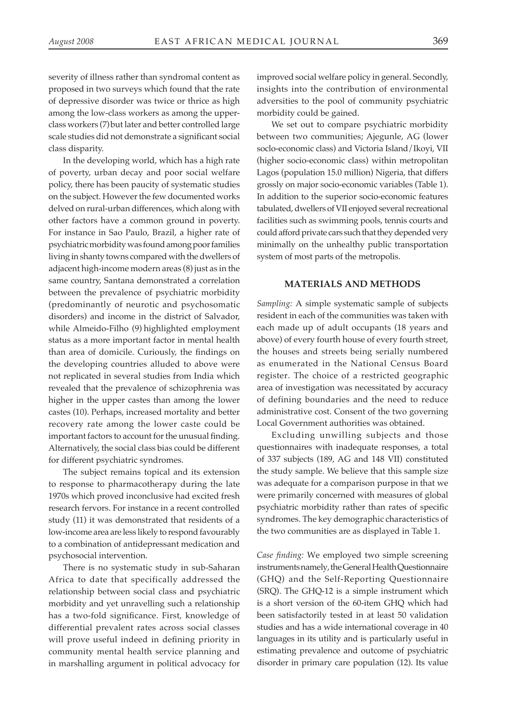severity of illness rather than syndromal content as proposed in two surveys which found that the rate of depressive disorder was twice or thrice as high among the low-class workers as among the upperclass workers (7)but later and better controlled large scale studies did not demonstrate a significant social class disparity.

In the developing world, which has a high rate of poverty, urban decay and poor social welfare policy, there has been paucity of systematic studies on the subject. However the few documented works delved on rural-urban differences, which along with other factors have a common ground in poverty. For instance in Sao Paulo, Brazil, a higher rate of psychiatric morbidity was found among poor families living in shanty towns compared with the dwellers of adjacent high-income modern areas (8) just as in the same country, Santana demonstrated a correlation between the prevalence of psychiatric morbidity (predominantly of neurotic and psychosomatic disorders) and income in the district of Salvador, while Almeido-Filho (9) highlighted employment status as a more important factor in mental health than area of domicile. Curiously, the findings on the developing countries alluded to above were not replicated in several studies from India which revealed that the prevalence of schizophrenia was higher in the upper castes than among the lower castes (10). Perhaps, increased mortality and better recovery rate among the lower caste could be important factors to account for the unusual finding. Alternatively, the social class bias could be different for different psychiatric syndromes.

The subject remains topical and its extension to response to pharmacotherapy during the late 1970s which proved inconclusive had excited fresh research fervors. For instance in a recent controlled study (11) it was demonstrated that residents of a low-income area are less likely to respond favourably to a combination of antidepressant medication and psychosocial intervention.

There is no systematic study in sub-Saharan Africa to date that specifically addressed the relationship between social class and psychiatric morbidity and yet unravelling such a relationship has a two-fold significance. First, knowledge of differential prevalent rates across social classes will prove useful indeed in defining priority in community mental health service planning and in marshalling argument in political advocacy for

improved social welfare policy in general. Secondly, insights into the contribution of environmental adversities to the pool of community psychiatric morbidity could be gained.

We set out to compare psychiatric morbidity between two communities; Ajegunle, AG (lower soclo-economic class) and Victoria Island/Ikoyi, VII (higher socio-economic class) within metropolitan Lagos (population 15.0 million) Nigeria, that differs grossly on major socio-economic variables (Table 1). In addition to the superior socio-economic features tabulated, dwellers of VII enjoyed several recreational facilities such as swimming pools, tennis courts and could afford private cars such that they depended very minimally on the unhealthy public transportation system of most parts of the metropolis.

### **Materials and METHODs**

*Sampling:* A simple systematic sample of subjects resident in each of the communities was taken with each made up of adult occupants (18 years and above) of every fourth house of every fourth street, the houses and streets being serially numbered as enumerated in the National Census Board register. The choice of a restricted geographic area of investigation was necessitated by accuracy of defining boundaries and the need to reduce administrative cost. Consent of the two governing Local Government authorities was obtained.

Excluding unwilling subjects and those questionnaires with inadequate responses, a total of 337 subjects (189, AG and 148 VII) constituted the study sample. We believe that this sample size was adequate for a comparison purpose in that we were primarily concerned with measures of global psychiatric morbidity rather than rates of specific syndromes. The key demographic characteristics of the two communities are as displayed in Table 1.

*Case finding:* We employed two simple screening instruments namely, the General Health Questionnaire (GHQ) and the Self-Reporting Questionnaire (SRQ). The GHQ-12 is a simple instrument which is a short version of the 60-item GHQ which had been satisfactorily tested in at least 50 validation studies and has a wide international coverage in 40 languages in its utility and is particularly useful in estimating prevalence and outcome of psychiatric disorder in primary care population (12). Its value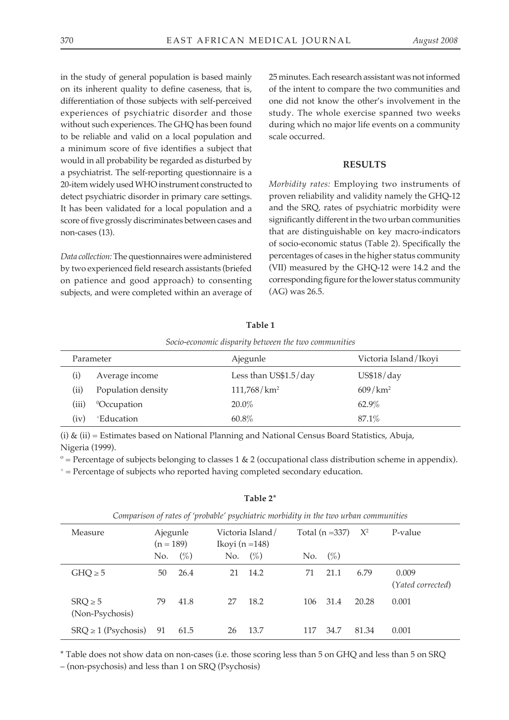in the study of general population is based mainly on its inherent quality to define caseness, that is, differentiation of those subjects with self-perceived experiences of psychiatric disorder and those without such experiences. The GHQ has been found to be reliable and valid on a local population and a minimum score of five identifies a subject that would in all probability be regarded as disturbed by a psychiatrist. The self-reporting questionnaire is a 20-item widely used WHO instrument constructed to detect psychiatric disorder in primary care settings. It has been validated for a local population and a score of five grossly discriminates between cases and non-cases (13).

*Data collection:* The questionnaires were administered by two experienced field research assistants (briefed on patience and good approach) to consenting subjects, and were completed within an average of 25 minutes. Each research assistant was notinformed of the intent to compare the two communities and one did not know the other's involvement in the study. The whole exercise spanned two weeks during which no major life events on a community scale occurred.

# **RESULTS**

*Morbidity rates:* Employing two instruments of proven reliability and validity namely the GHQ-12 and the SRQ, rates of psychiatric morbidity were significantly different in the two urban communities that are distinguishable on key macro-indicators of socio-economic status (Table 2). Specifically the percentages of cases in the higher status community (VII) measured by the GHQ-12 were 14.2 and the corresponding figure for the lower status community (AG) was 26.5.

| Parameter |                         | Ajegunle                | Victoria Island/Ikoyi |
|-----------|-------------------------|-------------------------|-----------------------|
| (i)       | Average income          | Less than US\$1.5/day   | US\$18/day            |
| (ii)      | Population density      | 111,768/km <sup>2</sup> | $609/km^2$            |
| (iii)     | <sup>0</sup> Occupation | $20.0\%$                | 62.9%                 |
| (iv)      | <i>*Education</i>       | 60.8%                   | 87.1%                 |

**Table 1** *Socio-economic disparity between the two communities*

(i)  $\&$  (ii) = Estimates based on National Planning and National Census Board Statistics, Abuja, Nigeria (1999).

 $\degree$  = Percentage of subjects belonging to classes 1 & 2 (occupational class distribution scheme in appendix).

<sup>+</sup> = Percentage of subjects who reported having completed secondary education.

| Comparison of rates of 'probable' psychiatric morbidity in the two urban communities |                         |        |                   |                  |     |                       |       |                            |  |
|--------------------------------------------------------------------------------------|-------------------------|--------|-------------------|------------------|-----|-----------------------|-------|----------------------------|--|
| Measure                                                                              | Ajegunle<br>$(n = 189)$ |        | Ikoyi (n $=148$ ) | Victoria Island/ |     | Total (n = 337) $X^2$ |       | P-value                    |  |
|                                                                                      | No.                     | $(\%)$ | No.               | $(\%)$           | No. | $(\%)$                |       |                            |  |
| $GHQ \geq 5$                                                                         | 50                      | 26.4   | 21                | 14.2             | 71  | 21.1                  | 6.79  | 0.009<br>(Yated corrected) |  |
| $S R Q \geq 5$<br>(Non-Psychosis)                                                    | 79                      | 41.8   | 27                | 18.2             | 106 | 31.4                  | 20.28 | 0.001                      |  |
| $S R Q \ge 1$ (Psychosis)                                                            | 91                      | 61.5   | 26                | 13.7             | 117 | 34.7                  | 81.34 | 0.001                      |  |

**Table 2\***

\* Table does not show data on non-cases (i.e. those scoring less than 5 on GHQ and less than 5 on SRQ

– (non-psychosis) and less than 1 on SRQ (Psychosis)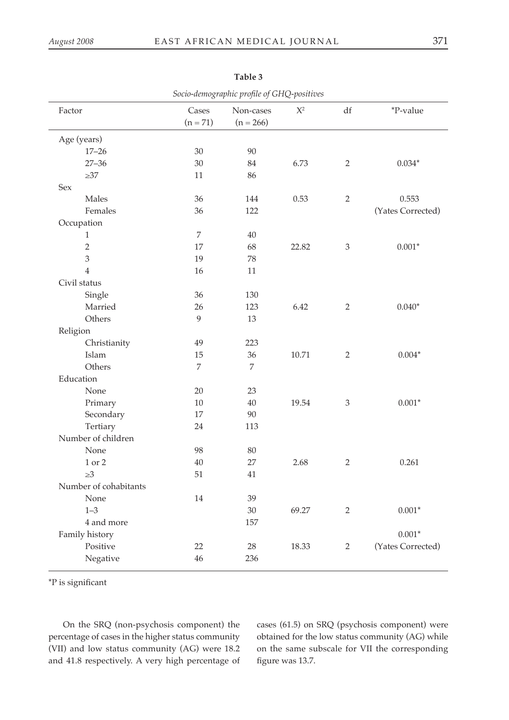| Socio-demographic profile of GHQ-positives |                     |                          |       |                             |                   |  |  |  |  |
|--------------------------------------------|---------------------|--------------------------|-------|-----------------------------|-------------------|--|--|--|--|
| Factor                                     | Cases<br>$(n = 71)$ | Non-cases<br>$(n = 266)$ | $X^2$ | df                          | *P-value          |  |  |  |  |
| Age (years)                                |                     |                          |       |                             |                   |  |  |  |  |
| $17 - 26$                                  | 30                  | 90                       |       |                             |                   |  |  |  |  |
| $27 - 36$                                  | 30                  | 84                       | 6.73  | $\sqrt{2}$                  | $0.034*$          |  |  |  |  |
| $\geq 37$                                  | 11                  | 86                       |       |                             |                   |  |  |  |  |
| Sex                                        |                     |                          |       |                             |                   |  |  |  |  |
| Males                                      | 36                  | 144                      | 0.53  | $\sqrt{2}$                  | 0.553             |  |  |  |  |
| Females                                    | 36                  | 122                      |       |                             | (Yates Corrected) |  |  |  |  |
| Occupation                                 |                     |                          |       |                             |                   |  |  |  |  |
| $\mathbf{1}$                               | $\overline{7}$      | 40                       |       |                             |                   |  |  |  |  |
| $\sqrt{2}$                                 | 17                  | 68                       | 22.82 | $\mathfrak{Z}$              | $0.001*$          |  |  |  |  |
| 3                                          | 19                  | 78                       |       |                             |                   |  |  |  |  |
| $\overline{4}$                             | 16                  | $11\,$                   |       |                             |                   |  |  |  |  |
| Civil status                               |                     |                          |       |                             |                   |  |  |  |  |
| Single                                     | 36                  | 130                      |       |                             |                   |  |  |  |  |
| Married                                    | 26                  | 123                      | 6.42  | $\overline{2}$              | $0.040*$          |  |  |  |  |
| Others                                     | 9                   | 13                       |       |                             |                   |  |  |  |  |
| Religion                                   |                     |                          |       |                             |                   |  |  |  |  |
| Christianity                               | 49                  | 223                      |       |                             |                   |  |  |  |  |
| Islam                                      | 15                  | 36                       | 10.71 | $\overline{2}$              | $0.004*$          |  |  |  |  |
| Others                                     | 7                   | $\overline{7}$           |       |                             |                   |  |  |  |  |
| Education                                  |                     |                          |       |                             |                   |  |  |  |  |
| None                                       | 20                  | 23                       |       |                             |                   |  |  |  |  |
| Primary                                    | 10                  | 40                       | 19.54 | $\ensuremath{\mathfrak{Z}}$ | $0.001*$          |  |  |  |  |
| Secondary                                  | 17                  | 90                       |       |                             |                   |  |  |  |  |
| Tertiary                                   | 24                  | 113                      |       |                             |                   |  |  |  |  |
| Number of children                         |                     |                          |       |                             |                   |  |  |  |  |
| None                                       | 98                  | $80\,$                   |       |                             |                   |  |  |  |  |
| 1 or 2                                     | 40                  | 27                       | 2.68  | $\sqrt{2}$                  | 0.261             |  |  |  |  |
| $\geq 3$                                   | 51                  | 41                       |       |                             |                   |  |  |  |  |
| Number of cohabitants                      |                     |                          |       |                             |                   |  |  |  |  |
| None                                       | $14\,$              | 39                       |       |                             |                   |  |  |  |  |
| $1 - 3$                                    |                     | 30                       | 69.27 | $\overline{2}$              | $0.001*$          |  |  |  |  |
| 4 and more                                 |                     | 157                      |       |                             |                   |  |  |  |  |
| Family history                             |                     |                          |       |                             | $0.001^{\star}$   |  |  |  |  |
| Positive                                   | 22                  | 28                       | 18.33 | $\overline{2}$              | (Yates Corrected) |  |  |  |  |
| Negative                                   | 46                  | 236                      |       |                             |                   |  |  |  |  |
|                                            |                     |                          |       |                             |                   |  |  |  |  |

**Table 3**

\*P is significant

On the SRQ (non-psychosis component) the percentage of cases in the higher status community (VII) and low status community (AG) were 18.2 and 41.8 respectively. A very high percentage of cases (61.5) on SRQ (psychosis component) were obtained for the low status community (AG) while on the same subscale for VII the corresponding figure was 13.7.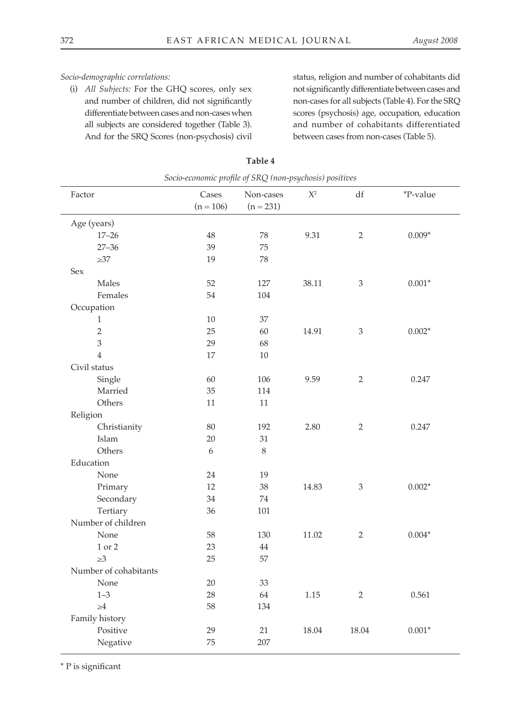# *Socio-demographic correlations:*

(i) *All Subjects:* For the GHQ scores, only sex and number of children, did not significantly differentiate between cases and non-cases when all subjects are considered together (Table 3). And for the SRQ Scores (non-psychosis) civil

status, religion and number of cohabitants did not significantly differentiate between cases and non-cases for all subjects (Table 4). For the SRQ scores (psychosis) age, occupation, education and number of cohabitants differentiated between cases from non-cases (Table 5).

| Socio-economic profile of SRQ (non-psychosis) positives |                      |                          |                |                             |          |  |  |  |
|---------------------------------------------------------|----------------------|--------------------------|----------------|-----------------------------|----------|--|--|--|
| Factor                                                  | Cases<br>$(n = 106)$ | Non-cases<br>$(n = 231)$ | $\mathsf{X}^2$ | df                          | *P-value |  |  |  |
| Age (years)                                             |                      |                          |                |                             |          |  |  |  |
| $17 - 26$                                               | 48                   | 78                       | 9.31           | $\sqrt{2}$                  | $0.009*$ |  |  |  |
| $27 - 36$                                               | 39                   | 75                       |                |                             |          |  |  |  |
| $\geq 37$                                               | 19                   | 78                       |                |                             |          |  |  |  |
| Sex                                                     |                      |                          |                |                             |          |  |  |  |
| Males                                                   | 52                   | 127                      | 38.11          | $\ensuremath{\mathfrak{Z}}$ | $0.001*$ |  |  |  |
| Females                                                 | 54                   | 104                      |                |                             |          |  |  |  |
| Occupation                                              |                      |                          |                |                             |          |  |  |  |
| $\mathbf{1}$                                            | $10\,$               | 37                       |                |                             |          |  |  |  |
| $\sqrt{2}$                                              | 25                   | 60                       | 14.91          | $\ensuremath{\mathfrak{Z}}$ | $0.002*$ |  |  |  |
| 3                                                       | 29                   | 68                       |                |                             |          |  |  |  |
| $\overline{4}$                                          | 17                   | $10\,$                   |                |                             |          |  |  |  |
| Civil status                                            |                      |                          |                |                             |          |  |  |  |
| Single                                                  | 60                   | 106                      | 9.59           | $\sqrt{2}$                  | 0.247    |  |  |  |
| Married                                                 | 35                   | 114                      |                |                             |          |  |  |  |
| Others                                                  | $11\,$               | 11                       |                |                             |          |  |  |  |
| Religion                                                |                      |                          |                |                             |          |  |  |  |
| Christianity                                            | 80                   | 192                      | 2.80           | $\sqrt{2}$                  | 0.247    |  |  |  |
| Islam                                                   | 20                   | 31                       |                |                             |          |  |  |  |
| Others                                                  | 6                    | $8\,$                    |                |                             |          |  |  |  |
| Education                                               |                      |                          |                |                             |          |  |  |  |
| None                                                    | 24                   | 19                       |                |                             |          |  |  |  |
| Primary                                                 | 12                   | 38                       | 14.83          | $\ensuremath{\mathfrak{Z}}$ | $0.002*$ |  |  |  |
| Secondary                                               | 34                   | 74                       |                |                             |          |  |  |  |
| Tertiary                                                | 36                   | 101                      |                |                             |          |  |  |  |
| Number of children                                      |                      |                          |                |                             |          |  |  |  |
| None                                                    | 58                   | 130                      | 11.02          | $\mathbf{2}$                | $0.004*$ |  |  |  |
| 1 or 2                                                  | 23                   | $44\,$                   |                |                             |          |  |  |  |
| $\geq 3$                                                | 25                   | 57                       |                |                             |          |  |  |  |
| Number of cohabitants                                   |                      |                          |                |                             |          |  |  |  |
| None                                                    | 20                   | 33                       |                |                             |          |  |  |  |
| $1 - 3$                                                 | 28                   | 64                       | 1.15           | $\overline{2}$              | 0.561    |  |  |  |
| $\geq 4$                                                | 58                   | 134                      |                |                             |          |  |  |  |
| Family history                                          |                      |                          |                |                             |          |  |  |  |
| Positive                                                | 29                   | 21                       | 18.04          | 18.04                       | $0.001*$ |  |  |  |
| Negative                                                | 75                   | 207                      |                |                             |          |  |  |  |

**Table 4**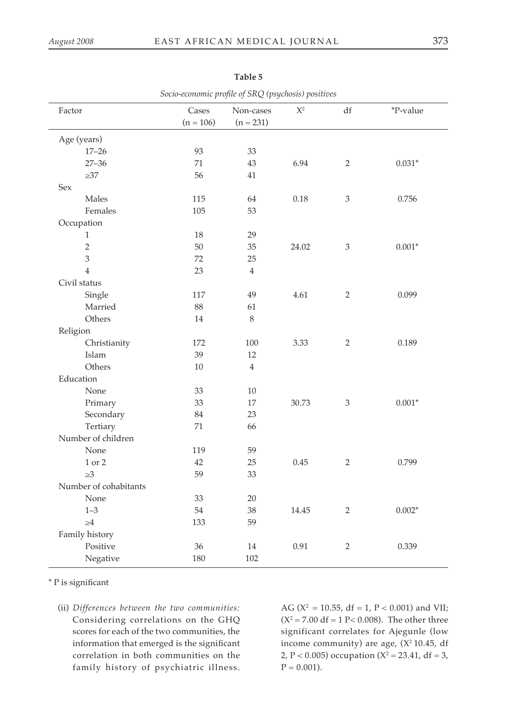| Cases<br>$\mathsf{X}^2$<br>$\mathrm{d}\mathrm{f}$<br>*P-value<br>Factor<br>Non-cases<br>$(n = 106)$<br>$(n = 231)$<br>Age (years)<br>93<br>$17 - 26$<br>33<br>$27 - 36$<br>71<br>43<br>6.94<br>$0.031*$<br>$\mathbf{2}$<br>$\geq 37$<br>56<br>41<br>Sex<br>Males<br>0.18<br>$\ensuremath{\mathfrak{Z}}$<br>115<br>64<br>0.756<br>Females<br>105<br>53<br>Occupation<br>18<br>29<br>$\mathbf{1}$<br>$\overline{2}$<br>$50\,$<br>35<br>$\mathfrak{Z}$<br>$0.001*$<br>24.02<br>3<br>25<br>72<br>$\overline{4}$<br>23<br>$\overline{4}$<br>Civil status<br>$\mathbf{2}$<br>Single<br>117<br>49<br>4.61<br>0.099<br>88<br>Married<br>61<br>Others<br>$8\,$<br>$14\,$<br>Religion<br>Christianity<br>100<br>3.33<br>$\mathbf{2}$<br>0.189<br>172<br>Islam<br>39<br>12<br>Others<br>$10\,$<br>$\overline{4}$<br>Education<br>None<br>33<br>10<br>33<br>30.73<br>$\ensuremath{\mathfrak{Z}}$<br>$0.001*$<br>Primary<br>17<br>Secondary<br>84<br>23<br>Tertiary<br>71<br>66<br>Number of children<br>119<br>59<br>None<br>$1\ \mathrm{or}\ 2$<br>42<br>$\overline{2}$<br>25<br>0.45<br>0.799<br>$\geq 3$<br>59<br>33<br>Number of cohabitants<br>None<br>20<br>33<br>$0.002*$<br>$1 - 3$<br>54<br>38<br>14.45<br>$\overline{2}$<br>$\geq 4$<br>133<br>59<br>Family history<br>Positive<br>36<br>14<br>0.91<br>$\overline{2}$<br>0.339<br>180<br>102 | Socio-economic profile of SRQ (psychosis) positives |  |  |  |  |  |  |  |
|--------------------------------------------------------------------------------------------------------------------------------------------------------------------------------------------------------------------------------------------------------------------------------------------------------------------------------------------------------------------------------------------------------------------------------------------------------------------------------------------------------------------------------------------------------------------------------------------------------------------------------------------------------------------------------------------------------------------------------------------------------------------------------------------------------------------------------------------------------------------------------------------------------------------------------------------------------------------------------------------------------------------------------------------------------------------------------------------------------------------------------------------------------------------------------------------------------------------------------------------------------------------------------------------------------------------------------------------|-----------------------------------------------------|--|--|--|--|--|--|--|
|                                                                                                                                                                                                                                                                                                                                                                                                                                                                                                                                                                                                                                                                                                                                                                                                                                                                                                                                                                                                                                                                                                                                                                                                                                                                                                                                            |                                                     |  |  |  |  |  |  |  |
|                                                                                                                                                                                                                                                                                                                                                                                                                                                                                                                                                                                                                                                                                                                                                                                                                                                                                                                                                                                                                                                                                                                                                                                                                                                                                                                                            |                                                     |  |  |  |  |  |  |  |
|                                                                                                                                                                                                                                                                                                                                                                                                                                                                                                                                                                                                                                                                                                                                                                                                                                                                                                                                                                                                                                                                                                                                                                                                                                                                                                                                            |                                                     |  |  |  |  |  |  |  |
|                                                                                                                                                                                                                                                                                                                                                                                                                                                                                                                                                                                                                                                                                                                                                                                                                                                                                                                                                                                                                                                                                                                                                                                                                                                                                                                                            |                                                     |  |  |  |  |  |  |  |
|                                                                                                                                                                                                                                                                                                                                                                                                                                                                                                                                                                                                                                                                                                                                                                                                                                                                                                                                                                                                                                                                                                                                                                                                                                                                                                                                            |                                                     |  |  |  |  |  |  |  |
|                                                                                                                                                                                                                                                                                                                                                                                                                                                                                                                                                                                                                                                                                                                                                                                                                                                                                                                                                                                                                                                                                                                                                                                                                                                                                                                                            |                                                     |  |  |  |  |  |  |  |
|                                                                                                                                                                                                                                                                                                                                                                                                                                                                                                                                                                                                                                                                                                                                                                                                                                                                                                                                                                                                                                                                                                                                                                                                                                                                                                                                            |                                                     |  |  |  |  |  |  |  |
|                                                                                                                                                                                                                                                                                                                                                                                                                                                                                                                                                                                                                                                                                                                                                                                                                                                                                                                                                                                                                                                                                                                                                                                                                                                                                                                                            |                                                     |  |  |  |  |  |  |  |
|                                                                                                                                                                                                                                                                                                                                                                                                                                                                                                                                                                                                                                                                                                                                                                                                                                                                                                                                                                                                                                                                                                                                                                                                                                                                                                                                            |                                                     |  |  |  |  |  |  |  |
|                                                                                                                                                                                                                                                                                                                                                                                                                                                                                                                                                                                                                                                                                                                                                                                                                                                                                                                                                                                                                                                                                                                                                                                                                                                                                                                                            |                                                     |  |  |  |  |  |  |  |
|                                                                                                                                                                                                                                                                                                                                                                                                                                                                                                                                                                                                                                                                                                                                                                                                                                                                                                                                                                                                                                                                                                                                                                                                                                                                                                                                            |                                                     |  |  |  |  |  |  |  |
|                                                                                                                                                                                                                                                                                                                                                                                                                                                                                                                                                                                                                                                                                                                                                                                                                                                                                                                                                                                                                                                                                                                                                                                                                                                                                                                                            |                                                     |  |  |  |  |  |  |  |
|                                                                                                                                                                                                                                                                                                                                                                                                                                                                                                                                                                                                                                                                                                                                                                                                                                                                                                                                                                                                                                                                                                                                                                                                                                                                                                                                            |                                                     |  |  |  |  |  |  |  |
|                                                                                                                                                                                                                                                                                                                                                                                                                                                                                                                                                                                                                                                                                                                                                                                                                                                                                                                                                                                                                                                                                                                                                                                                                                                                                                                                            |                                                     |  |  |  |  |  |  |  |
|                                                                                                                                                                                                                                                                                                                                                                                                                                                                                                                                                                                                                                                                                                                                                                                                                                                                                                                                                                                                                                                                                                                                                                                                                                                                                                                                            |                                                     |  |  |  |  |  |  |  |
|                                                                                                                                                                                                                                                                                                                                                                                                                                                                                                                                                                                                                                                                                                                                                                                                                                                                                                                                                                                                                                                                                                                                                                                                                                                                                                                                            |                                                     |  |  |  |  |  |  |  |
|                                                                                                                                                                                                                                                                                                                                                                                                                                                                                                                                                                                                                                                                                                                                                                                                                                                                                                                                                                                                                                                                                                                                                                                                                                                                                                                                            |                                                     |  |  |  |  |  |  |  |
|                                                                                                                                                                                                                                                                                                                                                                                                                                                                                                                                                                                                                                                                                                                                                                                                                                                                                                                                                                                                                                                                                                                                                                                                                                                                                                                                            |                                                     |  |  |  |  |  |  |  |
|                                                                                                                                                                                                                                                                                                                                                                                                                                                                                                                                                                                                                                                                                                                                                                                                                                                                                                                                                                                                                                                                                                                                                                                                                                                                                                                                            |                                                     |  |  |  |  |  |  |  |
|                                                                                                                                                                                                                                                                                                                                                                                                                                                                                                                                                                                                                                                                                                                                                                                                                                                                                                                                                                                                                                                                                                                                                                                                                                                                                                                                            |                                                     |  |  |  |  |  |  |  |
|                                                                                                                                                                                                                                                                                                                                                                                                                                                                                                                                                                                                                                                                                                                                                                                                                                                                                                                                                                                                                                                                                                                                                                                                                                                                                                                                            |                                                     |  |  |  |  |  |  |  |
|                                                                                                                                                                                                                                                                                                                                                                                                                                                                                                                                                                                                                                                                                                                                                                                                                                                                                                                                                                                                                                                                                                                                                                                                                                                                                                                                            |                                                     |  |  |  |  |  |  |  |
|                                                                                                                                                                                                                                                                                                                                                                                                                                                                                                                                                                                                                                                                                                                                                                                                                                                                                                                                                                                                                                                                                                                                                                                                                                                                                                                                            |                                                     |  |  |  |  |  |  |  |
|                                                                                                                                                                                                                                                                                                                                                                                                                                                                                                                                                                                                                                                                                                                                                                                                                                                                                                                                                                                                                                                                                                                                                                                                                                                                                                                                            |                                                     |  |  |  |  |  |  |  |
|                                                                                                                                                                                                                                                                                                                                                                                                                                                                                                                                                                                                                                                                                                                                                                                                                                                                                                                                                                                                                                                                                                                                                                                                                                                                                                                                            |                                                     |  |  |  |  |  |  |  |
|                                                                                                                                                                                                                                                                                                                                                                                                                                                                                                                                                                                                                                                                                                                                                                                                                                                                                                                                                                                                                                                                                                                                                                                                                                                                                                                                            |                                                     |  |  |  |  |  |  |  |
|                                                                                                                                                                                                                                                                                                                                                                                                                                                                                                                                                                                                                                                                                                                                                                                                                                                                                                                                                                                                                                                                                                                                                                                                                                                                                                                                            |                                                     |  |  |  |  |  |  |  |
|                                                                                                                                                                                                                                                                                                                                                                                                                                                                                                                                                                                                                                                                                                                                                                                                                                                                                                                                                                                                                                                                                                                                                                                                                                                                                                                                            |                                                     |  |  |  |  |  |  |  |
|                                                                                                                                                                                                                                                                                                                                                                                                                                                                                                                                                                                                                                                                                                                                                                                                                                                                                                                                                                                                                                                                                                                                                                                                                                                                                                                                            |                                                     |  |  |  |  |  |  |  |
|                                                                                                                                                                                                                                                                                                                                                                                                                                                                                                                                                                                                                                                                                                                                                                                                                                                                                                                                                                                                                                                                                                                                                                                                                                                                                                                                            |                                                     |  |  |  |  |  |  |  |
|                                                                                                                                                                                                                                                                                                                                                                                                                                                                                                                                                                                                                                                                                                                                                                                                                                                                                                                                                                                                                                                                                                                                                                                                                                                                                                                                            |                                                     |  |  |  |  |  |  |  |
|                                                                                                                                                                                                                                                                                                                                                                                                                                                                                                                                                                                                                                                                                                                                                                                                                                                                                                                                                                                                                                                                                                                                                                                                                                                                                                                                            |                                                     |  |  |  |  |  |  |  |
|                                                                                                                                                                                                                                                                                                                                                                                                                                                                                                                                                                                                                                                                                                                                                                                                                                                                                                                                                                                                                                                                                                                                                                                                                                                                                                                                            |                                                     |  |  |  |  |  |  |  |
|                                                                                                                                                                                                                                                                                                                                                                                                                                                                                                                                                                                                                                                                                                                                                                                                                                                                                                                                                                                                                                                                                                                                                                                                                                                                                                                                            |                                                     |  |  |  |  |  |  |  |
|                                                                                                                                                                                                                                                                                                                                                                                                                                                                                                                                                                                                                                                                                                                                                                                                                                                                                                                                                                                                                                                                                                                                                                                                                                                                                                                                            |                                                     |  |  |  |  |  |  |  |
|                                                                                                                                                                                                                                                                                                                                                                                                                                                                                                                                                                                                                                                                                                                                                                                                                                                                                                                                                                                                                                                                                                                                                                                                                                                                                                                                            |                                                     |  |  |  |  |  |  |  |
|                                                                                                                                                                                                                                                                                                                                                                                                                                                                                                                                                                                                                                                                                                                                                                                                                                                                                                                                                                                                                                                                                                                                                                                                                                                                                                                                            | Negative                                            |  |  |  |  |  |  |  |

| ш<br>۰,<br>× |  |
|--------------|--|
|--------------|--|

\* P is significant

(ii) *Differences between the two communities:* Considering correlations on the GHQ scores for each of the two communities, the information that emerged is the significant correlation in both communities on the family history of psychiatric illness. AG ( $X^2 = 10.55$ , df = 1, P < 0.001) and VII;  $(X^2 = 7.00 \text{ df} = 1 \text{ P} < 0.008)$ . The other three significant correlates for Ajegunle (low income community) are age,  $(X<sup>2</sup>10.45, df)$ 2, P < 0.005) occupation ( $X^2 = 23.41$ , df = 3,  $P = 0.001$ .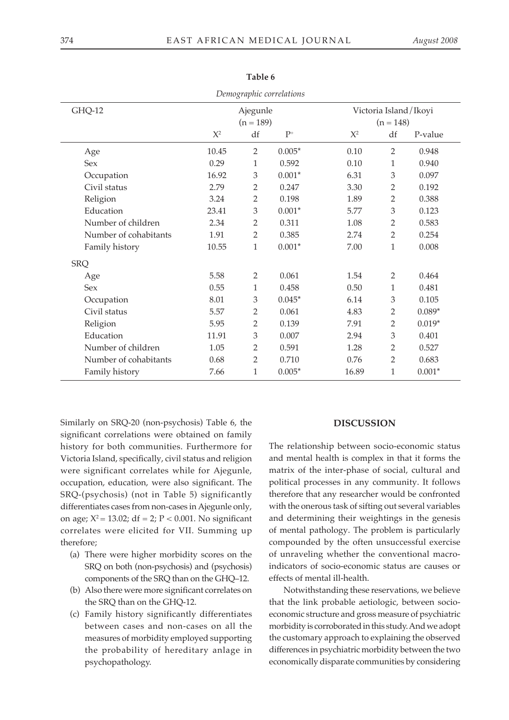|                       |          |                | Demographic correlations |                       |                |          |  |  |
|-----------------------|----------|----------------|--------------------------|-----------------------|----------------|----------|--|--|
| GHQ-12                | Ajegunle |                |                          | Victoria Island/Ikoyi |                |          |  |  |
|                       |          | $(n = 189)$    |                          |                       | $(n = 148)$    |          |  |  |
|                       | $X^2$    | df             | $P^+$                    | $X^2$                 | df             | P-value  |  |  |
| Age                   | 10.45    | $\overline{2}$ | $0.005*$                 | 0.10                  | $\overline{2}$ | 0.948    |  |  |
| Sex                   | 0.29     | $\mathbf{1}$   | 0.592                    | 0.10                  | 1              | 0.940    |  |  |
| Occupation            | 16.92    | $\mathfrak{Z}$ | $0.001*$                 | 6.31                  | $\mathfrak{Z}$ | 0.097    |  |  |
| Civil status          | 2.79     | $\overline{2}$ | 0.247                    | 3.30                  | $\overline{2}$ | 0.192    |  |  |
| Religion              | 3.24     | $\overline{2}$ | 0.198                    | 1.89                  | $\overline{2}$ | 0.388    |  |  |
| Education             | 23.41    | $\mathfrak{Z}$ | $0.001*$                 | 5.77                  | $\mathfrak{Z}$ | 0.123    |  |  |
| Number of children    | 2.34     | $\mathbf{2}$   | 0.311                    | 1.08                  | $\sqrt{2}$     | 0.583    |  |  |
| Number of cohabitants | 1.91     | $\overline{2}$ | 0.385                    | 2.74                  | $\overline{2}$ | 0.254    |  |  |
| Family history        | 10.55    | $\mathbf{1}$   | $0.001*$                 | 7.00                  | 1              | 0.008    |  |  |
| SRQ                   |          |                |                          |                       |                |          |  |  |
| Age                   | 5.58     | $\overline{2}$ | 0.061                    | 1.54                  | $\overline{2}$ | 0.464    |  |  |
| Sex                   | 0.55     | $\mathbf{1}$   | 0.458                    | 0.50                  | $\mathbf{1}$   | 0.481    |  |  |
| Occupation            | 8.01     | $\mathfrak{Z}$ | $0.045*$                 | 6.14                  | 3              | 0.105    |  |  |
| Civil status          | 5.57     | $\overline{2}$ | 0.061                    | 4.83                  | $\overline{2}$ | $0.089*$ |  |  |
| Religion              | 5.95     | $\overline{2}$ | 0.139                    | 7.91                  | $\overline{2}$ | $0.019*$ |  |  |
| Education             | 11.91    | $\mathfrak{Z}$ | 0.007                    | 2.94                  | $\mathfrak{Z}$ | 0.401    |  |  |
| Number of children    | 1.05     | 2              | 0.591                    | 1.28                  | $\overline{2}$ | 0.527    |  |  |
| Number of cohabitants | 0.68     | $\overline{2}$ | 0.710                    | 0.76                  | $\overline{2}$ | 0.683    |  |  |
| Family history        | 7.66     | $\mathbf{1}$   | $0.005*$                 | 16.89                 | $\mathbf{1}$   | $0.001*$ |  |  |

**Table 6**

Similarly on SRQ-20 (non-psychosis) Table 6, the significant correlations were obtained on family history for both communities. Furthermore for Victoria Island, specifically, civil status and religion were significant correlates while for Ajegunle, occupation, education, were also significant. The SRQ-(psychosis) (not in Table 5) significantly differentiates cases from non-cases in Ajegunle only, on age;  $X^2 = 13.02$ ; df = 2; P < 0.001. No significant correlates were elicited for VII. Summing up therefore;

- (a) There were higher morbidity scores on the SRQ on both (non-psychosis) and (psychosis) components of the SRQ than on the GHQ–12.
- (b) Also there were more significant correlates on the SRQ than on the GHQ-12.
- (c) Family history significantly differentiates between cases and non-cases on all the measures of morbidity employed supporting the probability of hereditary anlage in psychopathology.

#### **DISCUSSION**

The relationship between socio-economic status and mental health is complex in that it forms the matrix of the inter-phase of social, cultural and political processes in any community. It follows therefore that any researcher would be confronted with the onerous task of sifting out several variables and determining their weightings in the genesis of mental pathology. The problem is particularly compounded by the often unsuccessful exercise of unraveling whether the conventional macroindicators of socio-economic status are causes or effects of mental ill-health.

Notwithstanding these reservations, we believe that the link probable aetiologic, between socioeconomic structure and gross measure of psychiatric morbidity is corroborated in this study. And we adopt the customary approach to explaining the observed differences in psychiatric morbidity between the two economically disparate communities by considering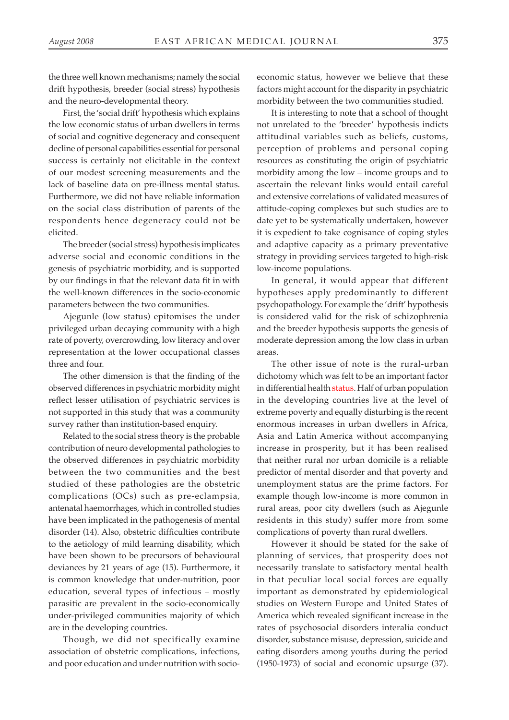the three well known mechanisms; namely the social drift hypothesis, breeder (social stress) hypothesis and the neuro-developmental theory.

First, the 'social drift' hypothesis which explains the low economic status of urban dwellers in terms of social and cognitive degeneracy and consequent decline of personal capabilities essential for personal success is certainly not elicitable in the context of our modest screening measurements and the lack of baseline data on pre-illness mental status. Furthermore, we did not have reliable information on the social class distribution of parents of the respondents hence degeneracy could not be elicited.

The breeder(social stress) hypothesis implicates adverse social and economic conditions in the genesis of psychiatric morbidity, and is supported by our findings in that the relevant data fit in with the well-known differences in the socio-economic parameters between the two communities.

Ajegunle (low status) epitomises the under privileged urban decaying community with a high rate of poverty, overcrowding, low literacy and over representation at the lower occupational classes three and four.

The other dimension is that the finding of the observed differences in psychiatric morbidity might reflect lesser utilisation of psychiatric services is not supported in this study that was a community survey rather than institution-based enquiry.

Related to the social stress theory is the probable contribution of neuro developmental pathologies to the observed differences in psychiatric morbidity between the two communities and the best studied of these pathologies are the obstetric complications (OCs) such as pre-eclampsia, antenatal haemorrhages, which in controlled studies have been implicated in the pathogenesis of mental disorder (14). Also, obstetric difficulties contribute to the aetiology of mild learning disability, which have been shown to be precursors of behavioural deviances by 21 years of age (15). Furthermore, it is common knowledge that under-nutrition, poor education, several types of infectious – mostly parasitic are prevalent in the socio-economically under-privileged communities majority of which are in the developing countries.

Though, we did not specifically examine association of obstetric complications, infections, and poor education and under nutrition with socioeconomic status, however we believe that these factors might account for the disparity in psychiatric morbidity between the two communities studied.

It is interesting to note that a school of thought not unrelated to the 'breeder' hypothesis indicts attitudinal variables such as beliefs, customs, perception of problems and personal coping resources as constituting the origin of psychiatric morbidity among the low – income groups and to ascertain the relevant links would entail careful and extensive correlations of validated measures of attitude-coping complexes but such studies are to date yet to be systematically undertaken, however it is expedient to take cognisance of coping styles and adaptive capacity as a primary preventative strategy in providing services targeted to high-risk low-income populations.

In general, it would appear that different hypotheses apply predominantly to different psychopathology. For example the 'drift' hypothesis is considered valid for the risk of schizophrenia and the breeder hypothesis supports the genesis of moderate depression among the low class in urban areas.

The other issue of note is the rural-urban dichotomy which was felt to be an important factor in differential health status. Half of urban population in the developing countries live at the level of extreme poverty and equally disturbing is the recent enormous increases in urban dwellers in Africa, Asia and Latin America without accompanying increase in prosperity, but it has been realised that neither rural nor urban domicile is a reliable predictor of mental disorder and that poverty and unemployment status are the prime factors. For example though low-income is more common in rural areas, poor city dwellers (such as Ajegunle residents in this study) suffer more from some complications of poverty than rural dwellers.

However it should be stated for the sake of planning of services, that prosperity does not necessarily translate to satisfactory mental health in that peculiar local social forces are equally important as demonstrated by epidemiological studies on Western Europe and United States of America which revealed significant increase in the rates of psychosocial disorders interalia conduct disorder, substance misuse, depression, suicide and eating disorders among youths during the period (1950-1973) of social and economic upsurge (37).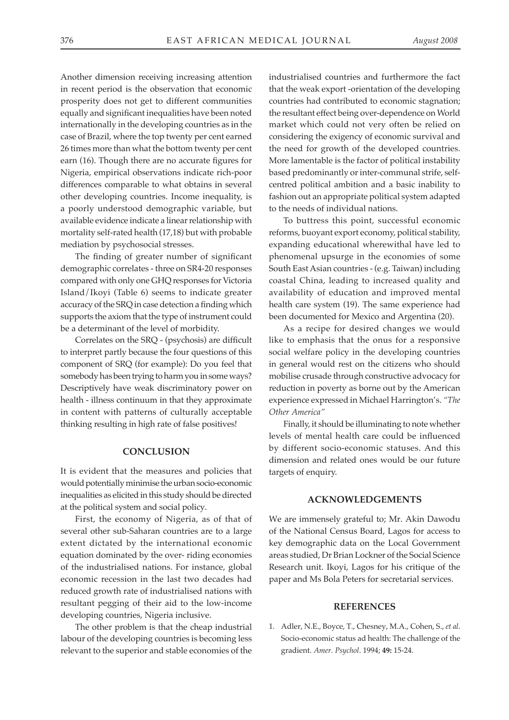Another dimension receiving increasing attention in recent period is the observation that economic prosperity does not get to different communities equally and significant inequalities have been noted internationally in the developing countries as in the case of Brazil, where the top twenty per cent earned 26 times more than what the bottom twenty per cent earn (16). Though there are no accurate figures for Nigeria, empirical observations indicate rich-poor differences comparable to what obtains in several other developing countries. Income inequality, is a poorly understood demographic variable, but available evidence indicate a linear relationship with mortality self-rated health (17,18) but with probable mediation by psychosocial stresses.

The finding of greater number of significant demographic correlates - three on SR4-20 responses compared with only one GHQ responses for Victoria Island/Ikoyi (Table 6) seems to indicate greater accuracy of the SRQ in case detection a finding which supports the axiom that the type of instrument could be a determinant of the level of morbidity.

Correlates on the SRQ - (psychosis) are difficult to interpret partly because the four questions of this component of SRQ (for example): Do you feel that somebody has been trying to harm you in some ways? Descriptively have weak discriminatory power on health - illness continuum in that they approximate in content with patterns of culturally acceptable thinking resulting in high rate of false positives!

## **CONCLUSION**

It is evident that the measures and policies that would potentially minimise the urban socio-economic inequalities as elicited in this study should be directed at the political system and social policy.

First, the economy of Nigeria, as of that of several other sub-Saharan countries are to a large extent dictated by the international economic equation dominated by the over- riding economies of the industrialised nations. For instance, global economic recession in the last two decades had reduced growth rate of industrialised nations with resultant pegging of their aid to the low-income developing countries, Nigeria inclusive.

The other problem is that the cheap industrial labour of the developing countries is becoming less relevant to the superior and stable economies of the industrialised countries and furthermore the fact that the weak export -orientation of the developing countries had contributed to economic stagnation; the resultant effect being over-dependence on World market which could not very often be relied on considering the exigency of economic survival and the need for growth of the developed countries. More lamentable is the factor of political instability based predominantly or inter-communal strife, selfcentred political ambition and a basic inability to fashion out an appropriate political system adapted to the needs of individual nations.

To buttress this point, successful economic reforms, buoyant export economy, political stability, expanding educational wherewithal have led to phenomenal upsurge in the economies of some South East Asian countries - (e.g. Taiwan) including coastal China, leading to increased quality and availability of education and improved mental health care system (19). The same experience had been documented for Mexico and Argentina (20).

As a recipe for desired changes we would like to emphasis that the onus for a responsive social welfare policy in the developing countries in general would rest on the citizens who should mobilise crusade through constructive advocacy for reduction in poverty as borne out by the American experience expressed in Michael Harrington's. *"The Other America"*

Finally, it should be illuminating to note whether levels of mental health care could be influenced by different socio-economic statuses. And this dimension and related ones would be our future targets of enquiry.

# **Acknowledgements**

We are immensely grateful to; Mr. Akin Dawodu of the National Census Board, Lagos for access to key demographic data on the Local Government areas studied, Dr Brian Lockner of the Social Science Research unit. Ikoyi, Lagos for his critique of the paper and Ms Bola Peters for secretarial services.

#### **REFERENCES**

1. Adler, N.E., Boyce, T., Chesney, M.A., Cohen, S., *et al*. Socio-economic status ad health: The challenge of the gradient. *Amer. Psychol*. 1994; **49:** 15-24.